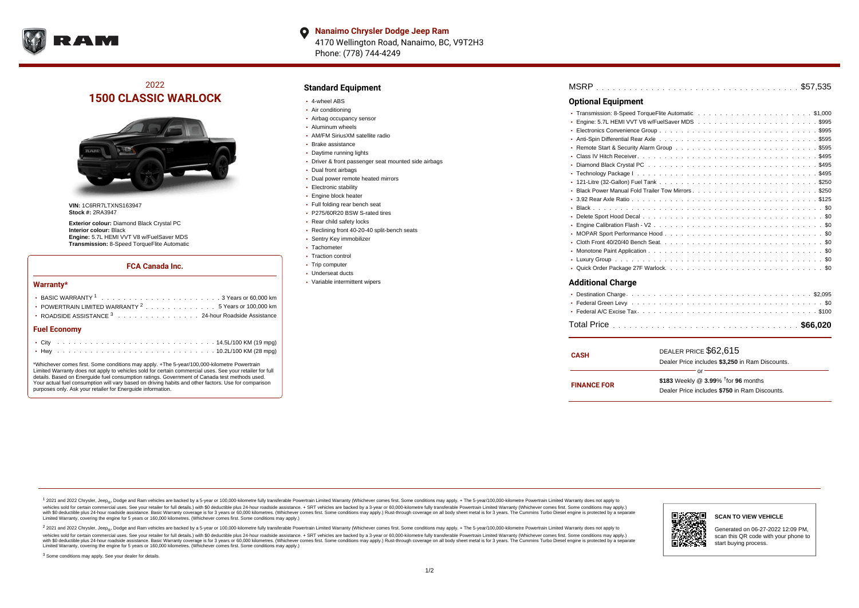

**Nanaimo Chrysler Dodge Jeep Ram**  $\bullet$ 4170 Wellington Road, Nanaimo, BC, V9T2H3 Phone: (778) 744-4249

# 2022 **1500 CLASSIC WARLOCK**



**VIN:** 1C6RR7LTXNS163947 **Stock #:** 2RA3947

**Exterior colour:** Diamond Black Crystal PC **Interior colour:** Black **Engine:** 5.7L HEMI VVT V8 w/FuelSaver MDS **Transmission:** 8-Speed TorqueFlite Automatic

#### **FCA Canada Inc.**

#### **Warranty\***

| POWERTRAIN LIMITED WARRANTY $2, \ldots, \ldots, \ldots, \ldots, 5$ Years or 100,000 km |  |  |  |  |  |
|----------------------------------------------------------------------------------------|--|--|--|--|--|
| • ROADSIDE ASSISTANCE 3 24-hour Roadside Assistance                                    |  |  |  |  |  |
| <b>Fuel Economy</b>                                                                    |  |  |  |  |  |
|                                                                                        |  |  |  |  |  |

\*Whichever comes first. Some conditions may apply. +The 5-year/100,000-kilometre Powertrain Limited Warranty does not apply to vehicles sold for certain commercial uses. See your retailer for full details. Based on Energuide fuel consumption ratings. Government of Canada test methods used. Your actual fuel consumption will vary based on driving habits and other factors. Use for comparison purposes only. Ask your retailer for Energuide information.

. . . . . . . . . . . . . . . . . . . . . . . . . . . . . . . . . . . . . . . . . . . Hwy 10.2L/100 KM (28 mpg)

### **Standard Equipment**

- 4-wheel ABS
- Air conditioning
- Airbag occupancy sensor
- Aluminum wheels
- AM/FM SiriusXM satellite radio
- Brake assistance
- Daytime running lights
- Driver & front passenger seat mounted side airbags
- Dual front airbags
- Dual power remote heated mirrors
- **Electronic stability**
- Engine block heater
- Full folding rear bench seat
- P275/60R20 BSW S-rated tires
- Rear child safety locks
- Reclining front 40-20-40 split-bench seats
- Sentry Key immobilizer
- Tachometer
- Traction control
- Trip computer Underseat ducts
- Variable intermittent wipers

| <b>Optional Equipment</b> |
|---------------------------|
|                           |
|                           |
|                           |
|                           |
|                           |
|                           |
|                           |
|                           |
|                           |
|                           |
|                           |
|                           |
|                           |
|                           |
|                           |
|                           |
|                           |
|                           |
|                           |
| <b>Additional Charge</b>  |

| <b>CASH</b>        | DEALER PRICE \$62,615                              |  |
|--------------------|----------------------------------------------------|--|
|                    | Dealer Price includes \$3.250 in Ram Discounts.    |  |
|                    | Ωr                                                 |  |
| <b>FINANCE FOR</b> | \$183 Weekly @ $3.99\%$ <sup>†</sup> for 96 months |  |
|                    | Dealer Price includes \$750 in Ram Discounts.      |  |
|                    |                                                    |  |

<sup>1</sup> 2021 and 2022 Chrysler, Jeep<sub>®</sub>, Dodge and Ram vehicles are backed by a 5-year or 100,000-kilometre fully transferable Powertrain Limited Warranty (Whichever comes first. Some conditions may apply. + The 5-year/100,000 vehicles sold for certain commercial uses. See your retailer for full details.) with \$0 deductible plus 24 hour roadside assistance. + SRT vehicles are backed by a 3-year or 60,000-kilometre fully transferable Powertrain L versus and contract the mean of the contract of the contract with a contract with a contract the contract of the contract of the contract the contract of the contract of the contract of the contract of the contract of the Limited Warranty, covering the engine for 5 years or 160,000 kilometres. (Whichever comes first. Some conditions may apply.)

2 2021 and 2022 Chrysler, Jeep<sub>®</sub>, Dodge and Ram vehicles are backed by a 5-year or 100,000-kilometre fully transferable Powertrain Limited Warranty (Whichever comes first. Some conditions may apply. + The 5-year/100,000-k vehicles sold for certain commercial uses. See your retailer for full details.) with SO deductible plus 24-hour roadside assistance. + SRT vehicles are backed by a 3-year or 60.000-kilometre fully transferable Powertrain L with S0 deductible plus 24-hour roadside assistance. Basic Warranty coverage is for 3 years or 60,000 kilometres. (Whichever comes first. Some conditions may apply.) Rust-through coverage on all body sheet metal is for 3 y

<sup>3</sup> Some conditions may apply. See your dealer for details.

Generated on 06-27-2022 12:09 PM, scan this QR code with your phone to start buying process.